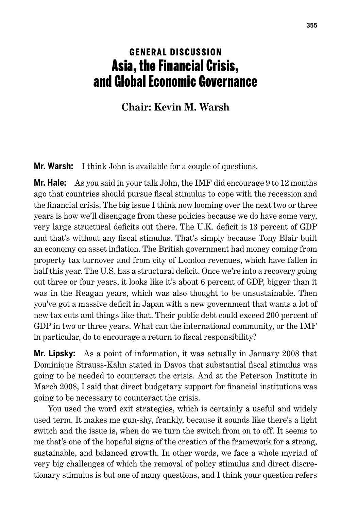## **GENERAL DISCUSSION** Asia, the Financial Crisis, and Global Economic Governance

## **Chair: Kevin M. Warsh**

**Mr. Warsh:** I think John is available for a couple of questions.

**Mr. Hale:** As you said in your talk John, the IMF did encourage 9 to 12 months ago that countries should pursue fiscal stimulus to cope with the recession and the financial crisis. The big issue I think now looming over the next two or three years is how we'll disengage from these policies because we do have some very, very large structural deficits out there. The U.K. deficit is 13 percent of GDP and that's without any fiscal stimulus. That's simply because Tony Blair built an economy on asset inflation. The British government had money coming from property tax turnover and from city of London revenues, which have fallen in half this year. The U.S. has a structural deficit. Once we're into a recovery going out three or four years, it looks like it's about 6 percent of GDP, bigger than it was in the Reagan years, which was also thought to be unsustainable. Then you've got a massive deficit in Japan with a new government that wants a lot of new tax cuts and things like that. Their public debt could exceed 200 percent of GDP in two or three years. What can the international community, or the IMF in particular, do to encourage a return to fiscal responsibility?

**Mr. Lipsky:** As a point of information, it was actually in January 2008 that Dominique Strauss-Kahn stated in Davos that substantial fiscal stimulus was going to be needed to counteract the crisis. And at the Peterson Institute in March 2008, I said that direct budgetary support for financial institutions was going to be necessary to counteract the crisis.

You used the word exit strategies, which is certainly a useful and widely used term. It makes me gun-shy, frankly, because it sounds like there's a light switch and the issue is, when do we turn the switch from on to off. It seems to me that's one of the hopeful signs of the creation of the framework for a strong, sustainable, and balanced growth. In other words, we face a whole myriad of very big challenges of which the removal of policy stimulus and direct discretionary stimulus is but one of many questions, and I think your question refers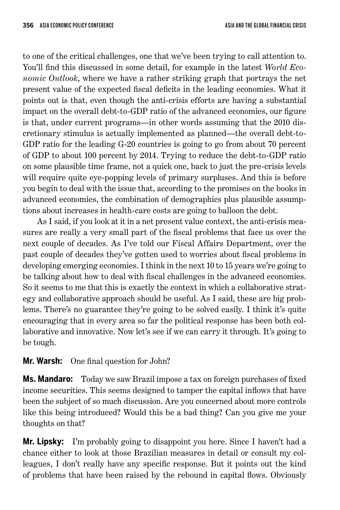to one of the critical challenges, one that we've been trying to call attention to. You'll find this discussed in some detail, for example in the latest *World Economic Outlook*, where we have a rather striking graph that portrays the net present value of the expected fiscal deficits in the leading economies. What it points out is that, even though the anti-crisis efforts are having a substantial impact on the overall debt-to-GDP ratio of the advanced economies, our figure is that, under current programs—in other words assuming that the 2010 discretionary stimulus is actually implemented as planned—the overall debt-to-GDP ratio for the leading G-20 countries is going to go from about 70 percent of GDP to about 100 percent by 2014. Trying to reduce the debt-to-GDP ratio on some plausible time frame, not a quick one, back to just the pre-crisis levels will require quite eye-popping levels of primary surpluses. And this is before you begin to deal with the issue that, according to the promises on the books in advanced economies, the combination of demographics plus plausible assumptions about increases in health-care costs are going to balloon the debt.

As I said, if you look at it in a net present value context, the anti-crisis measures are really a very small part of the fiscal problems that face us over the next couple of decades. As I've told our Fiscal Affairs Department, over the past couple of decades they've gotten used to worries about fiscal problems in developing emerging economies. I think in the next 10 to 15 years we're going to be talking about how to deal with fiscal challenges in the advanced economies. So it seems to me that this is exactly the context in which a collaborative strategy and collaborative approach should be useful. As I said, these are big problems. There's no guarantee they're going to be solved easily. I think it's quite encouraging that in every area so far the political response has been both collaborative and innovative. Now let's see if we can carry it through. It's going to be tough.

**Mr. Warsh:** One final question for John?

**Ms. Mandaro:** Today we saw Brazil impose a tax on foreign purchases of fixed income securities. This seems designed to tamper the capital inflows that have been the subject of so much discussion. Are you concerned about more controls like this being introduced? Would this be a bad thing? Can you give me your thoughts on that?

**Mr. Lipsky:** I'm probably going to disappoint you here. Since I haven't had a chance either to look at those Brazilian measures in detail or consult my colleagues, I don't really have any specific response. But it points out the kind of problems that have been raised by the rebound in capital flows. Obviously